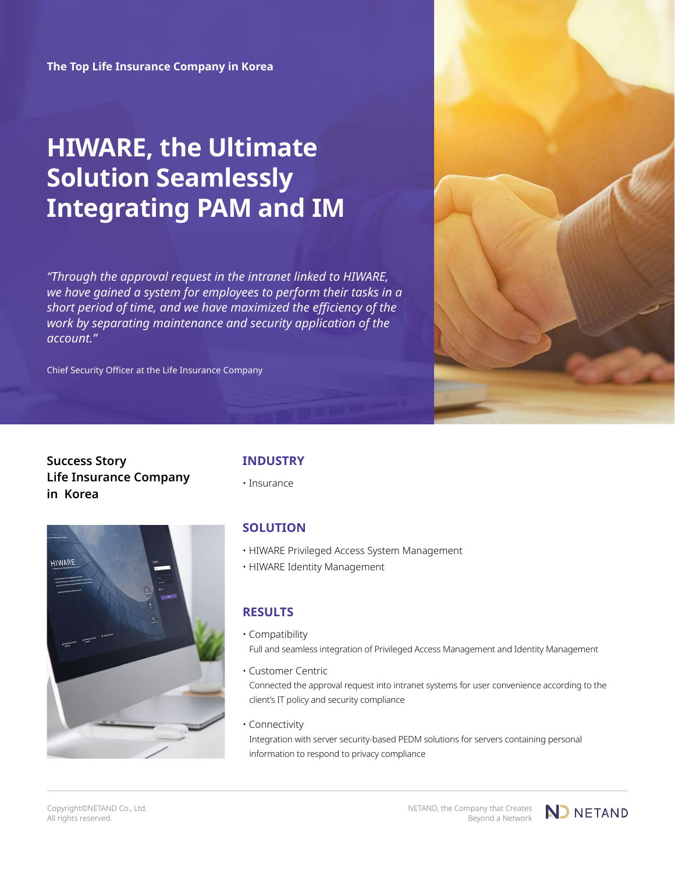**The Top Life Insurance Company in Korea**

# **HIWARE, the Ultimate Solution Seamlessly Integrating PAM and IM**

*"Through the approval request in the intranet linked to HIWARE, we have gained a system for employees to perform their tasks in a short period of time, and we have maximized the efficiency of the work by separating maintenance and security application of the account."*

Chief Security Officer at the Life Insurance Company



# **Success Story Life Insurance Company in Korea**



# **INDUSTRY**

• Insurance

# **SOLUTION**

- HIWARE Privileged Access System Management
- HIWARE Identity Management

# **RESULTS**

• Compatibility Full and seamless integration of Privileged Access Management and Identity Management

• Customer Centric Connected the approval request into intranet systems for user convenience according to the client's IT policy and security compliance

• Connectivity

Integration with server security-based PEDM solutions for servers containing personal information to respond to privacy compliance